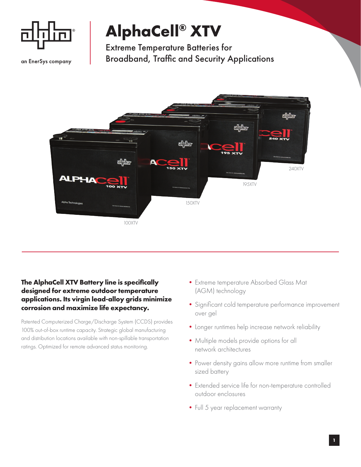

an EnerSys company

## **AlphaCell® XTV**

Extreme Temperature Batteries for Broadband, Traffic and Security Applications



## **The AlphaCell XTV Battery line is specifically designed for extreme outdoor temperature applications. Its virgin lead-alloy grids minimize corrosion and maximize life expectancy.**

Patented Computerized Charge/Discharge System (CCDS) provides 100% out-of-box runtime capacity. Strategic global manufacturing and distribution locations available with non-spillable transportation ratings. Optimized for remote advanced status monitoring.

- •Extreme temperature Absorbed Glass Mat (AGM) technology
- •Significant cold temperature performance improvement over gel
- •Longer runtimes help increase network reliability
- •Multiple models provide options for all network architectures
- Power density gains allow more runtime from smaller sized battery
- •Extended service life for non-temperature controlled outdoor enclosures
- Full 5 year replacement warranty